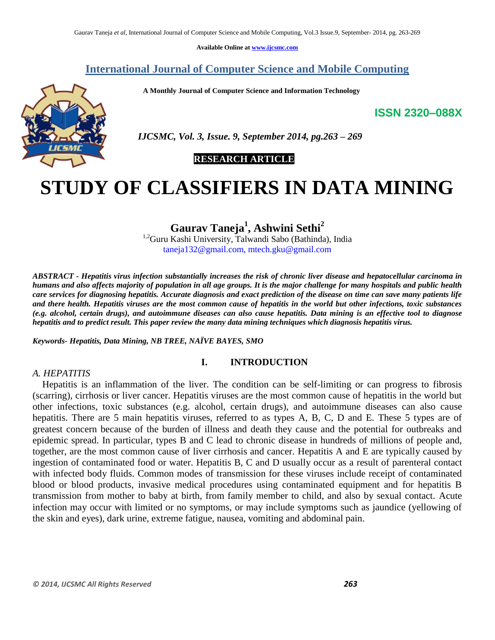**Available Online at www.ijcsmc.com**

# **International Journal of Computer Science and Mobile Computing**

 **A Monthly Journal of Computer Science and Information Technology**

**ISSN 2320–088X**



 *IJCSMC, Vol. 3, Issue. 9, September 2014, pg.263 – 269*

## **RESEARCH ARTICLE**

# **STUDY OF CLASSIFIERS IN DATA MINING**

**Gaurav Taneja<sup>1</sup> , Ashwini Sethi<sup>2</sup>**

<sup>1,2</sup>Guru Kashi University, Talwandi Sabo (Bathinda), India taneja132@gmail.com, mtech.gku@gmail.com

*ABSTRACT - Hepatitis virus infection substantially increases the risk of chronic liver disease and hepatocellular carcinoma in humans and also affects majority of population in all age groups. It is the major challenge for many hospitals and public health care services for diagnosing hepatitis. Accurate diagnosis and exact prediction of the disease on time can save many patients life and there health. Hepatitis viruses are the most common cause of hepatitis in the world but other infections, toxic substances (e.g. alcohol, certain drugs), and autoimmune diseases can also cause hepatitis. Data mining is an effective tool to diagnose hepatitis and to predict result. This paper review the many data mining techniques which diagnosis hepatitis virus.*

*Keywords- Hepatitis, Data Mining, NB TREE, NAÏVE BAYES, SMO*

### *A. HEPATITIS*

### **I. INTRODUCTION**

Hepatitis is an inflammation of the liver. The condition can be self-limiting or can progress to fibrosis (scarring), cirrhosis or liver cancer. Hepatitis viruses are the most common cause of hepatitis in the world but other infections, toxic substances (e.g. alcohol, certain drugs), and autoimmune diseases can also cause hepatitis. There are 5 main hepatitis viruses, referred to as types A, B, C, D and E. These 5 types are of greatest concern because of the burden of illness and death they cause and the potential for outbreaks and epidemic spread. In particular, types B and C lead to chronic disease in hundreds of millions of people and, together, are the most common cause of liver cirrhosis and cancer. Hepatitis A and E are typically caused by ingestion of contaminated food or water. Hepatitis B, C and D usually occur as a result of parenteral contact with infected body fluids. Common modes of transmission for these viruses include receipt of contaminated blood or blood products, invasive medical procedures using contaminated equipment and for hepatitis B transmission from mother to baby at birth, from family member to child, and also by sexual contact. Acute infection may occur with limited or no symptoms, or may include symptoms such as jaundice (yellowing of the skin and eyes), dark urine, extreme fatigue, nausea, vomiting and abdominal pain.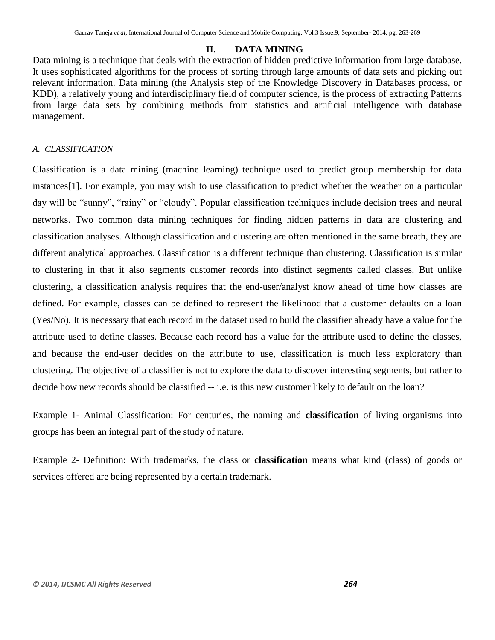### **II. DATA MINING**

Data mining is a technique that deals with the extraction of hidden predictive information from large database. It uses sophisticated algorithms for the process of sorting through large amounts of data sets and picking out relevant information. Data mining (the Analysis step of the Knowledge Discovery in Databases process, or KDD), a relatively young and interdisciplinary field of computer science, is the process of extracting Patterns from large data sets by combining methods from statistics and artificial intelligence with database management.

#### *A. CLASSIFICATION*

Classification is a data mining (machine learning) technique used to predict group membership for data instances[1]. For example, you may wish to use classification to predict whether the weather on a particular day will be "sunny", "rainy" or "cloudy". Popular classification techniques include decision trees and neural networks. Two common data mining techniques for finding hidden patterns in data are clustering and classification analyses. Although classification and clustering are often mentioned in the same breath, they are different analytical approaches. Classification is a different technique than clustering. Classification is similar to clustering in that it also segments customer records into distinct segments called classes. But unlike clustering, a classification analysis requires that the end-user/analyst know ahead of time how classes are defined. For example, classes can be defined to represent the likelihood that a customer defaults on a loan (Yes/No). It is necessary that each record in the dataset used to build the classifier already have a value for the attribute used to define classes. Because each record has a value for the attribute used to define the classes, and because the end-user decides on the attribute to use, classification is much less exploratory than clustering. The objective of a classifier is not to explore the data to discover interesting segments, but rather to decide how new records should be classified -- i.e. is this new customer likely to default on the loan?

Example 1- Animal Classification: For centuries, the naming and **classification** of living organisms into groups has been an integral part of the study of nature.

Example 2- Definition: With trademarks, the class or **classification** means what kind (class) of goods or services offered are being represented by a certain trademark.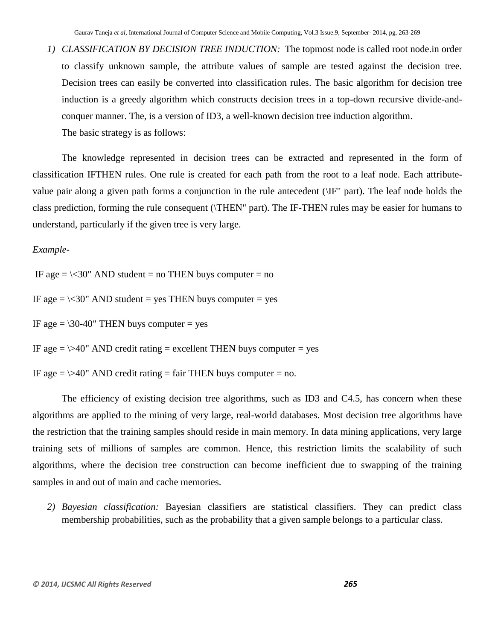*1) CLASSIFICATION BY DECISION TREE INDUCTION:* The topmost node is called root node.in order to classify unknown sample, the attribute values of sample are tested against the decision tree. Decision trees can easily be converted into classification rules. The basic algorithm for decision tree induction is a greedy algorithm which constructs decision trees in a top-down recursive divide-andconquer manner. The, is a version of ID3, a well-known decision tree induction algorithm. The basic strategy is as follows:

The knowledge represented in decision trees can be extracted and represented in the form of classification IFTHEN rules. One rule is created for each path from the root to a leaf node. Each attributevalue pair along a given path forms a conjunction in the rule antecedent (\IF" part). The leaf node holds the class prediction, forming the rule consequent (\THEN" part). The IF-THEN rules may be easier for humans to understand, particularly if the given tree is very large.

#### *Example-*

IF age  $= \times 30$ " AND student = no THEN buys computer = no

IF age  $=\leq 30$ " AND student = yes THEN buys computer = yes

IF age  $= \frac{30-40^{\circ}}{\text{THEN buys computer = yes}}$ 

IF age  $=$   $>40^{\circ}$  AND credit rating  $=$  excellent THEN buys computer  $=$  yes

IF age  $=$   $>40^{\circ}$  AND credit rating  $=$  fair THEN buys computer  $=$  no.

The efficiency of existing decision tree algorithms, such as ID3 and C4.5, has concern when these algorithms are applied to the mining of very large, real-world databases. Most decision tree algorithms have the restriction that the training samples should reside in main memory. In data mining applications, very large training sets of millions of samples are common. Hence, this restriction limits the scalability of such algorithms, where the decision tree construction can become inefficient due to swapping of the training samples in and out of main and cache memories.

*2) Bayesian classification:* Bayesian classifiers are statistical classifiers. They can predict class membership probabilities, such as the probability that a given sample belongs to a particular class.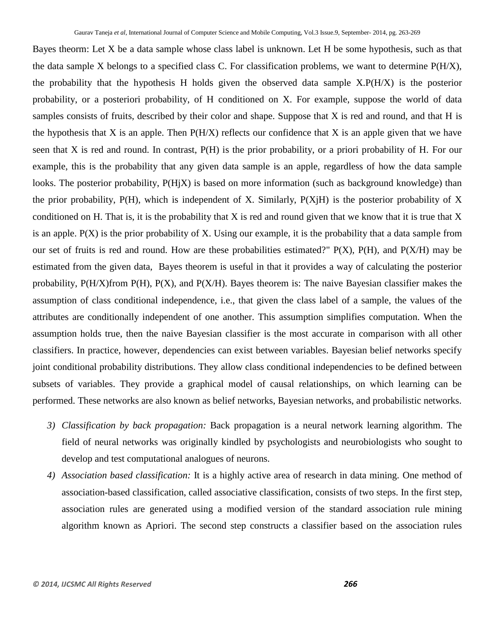Bayes theorm: Let X be a data sample whose class label is unknown. Let H be some hypothesis, such as that the data sample X belongs to a specified class C. For classification problems, we want to determine P(H/X), the probability that the hypothesis H holds given the observed data sample X.P(H/X) is the posterior probability, or a posteriori probability, of H conditioned on X. For example, suppose the world of data samples consists of fruits, described by their color and shape. Suppose that X is red and round, and that H is the hypothesis that X is an apple. Then  $P(H/X)$  reflects our confidence that X is an apple given that we have seen that X is red and round. In contrast, P(H) is the prior probability, or a priori probability of H. For our example, this is the probability that any given data sample is an apple, regardless of how the data sample looks. The posterior probability, P(HjX) is based on more information (such as background knowledge) than the prior probability,  $P(H)$ , which is independent of X. Similarly,  $P(X|H)$  is the posterior probability of X conditioned on H. That is, it is the probability that X is red and round given that we know that it is true that X is an apple. P(X) is the prior probability of X. Using our example, it is the probability that a data sample from our set of fruits is red and round. How are these probabilities estimated?"  $P(X)$ ,  $P(H)$ , and  $P(X/H)$  may be estimated from the given data, Bayes theorem is useful in that it provides a way of calculating the posterior probability,  $P(H/X)$  from  $P(H)$ ,  $P(X)$ , and  $P(X/H)$ . Bayes theorem is: The naive Bayesian classifier makes the assumption of class conditional independence, i.e., that given the class label of a sample, the values of the attributes are conditionally independent of one another. This assumption simplifies computation. When the assumption holds true, then the naive Bayesian classifier is the most accurate in comparison with all other classifiers. In practice, however, dependencies can exist between variables. Bayesian belief networks specify joint conditional probability distributions. They allow class conditional independencies to be defined between subsets of variables. They provide a graphical model of causal relationships, on which learning can be performed. These networks are also known as belief networks, Bayesian networks, and probabilistic networks.

- *3) Classification by back propagation:* Back propagation is a neural network learning algorithm. The field of neural networks was originally kindled by psychologists and neurobiologists who sought to develop and test computational analogues of neurons.
- *4) Association based classification:* It is a highly active area of research in data mining. One method of association-based classification, called associative classification, consists of two steps. In the first step, association rules are generated using a modified version of the standard association rule mining algorithm known as Apriori. The second step constructs a classifier based on the association rules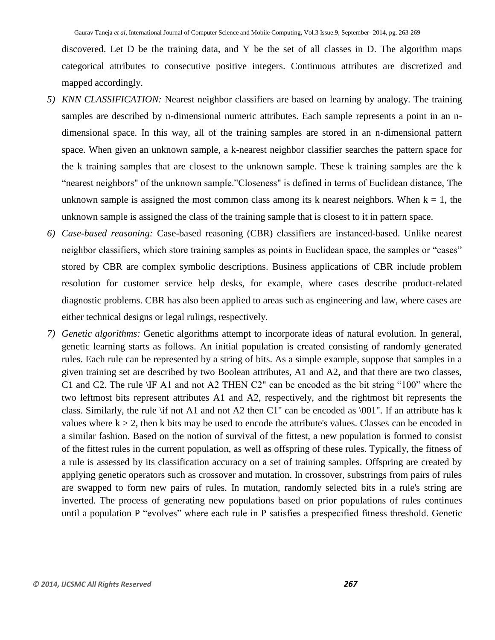discovered. Let D be the training data, and Y be the set of all classes in D. The algorithm maps categorical attributes to consecutive positive integers. Continuous attributes are discretized and mapped accordingly.

- *5) KNN CLASSIFICATION:* Nearest neighbor classifiers are based on learning by analogy. The training samples are described by n-dimensional numeric attributes. Each sample represents a point in an ndimensional space. In this way, all of the training samples are stored in an n-dimensional pattern space. When given an unknown sample, a k-nearest neighbor classifier searches the pattern space for the k training samples that are closest to the unknown sample. These k training samples are the k "nearest neighbors" of the unknown sample."Closeness" is defined in terms of Euclidean distance, The unknown sample is assigned the most common class among its k nearest neighbors. When  $k = 1$ , the unknown sample is assigned the class of the training sample that is closest to it in pattern space.
- *6) Case-based reasoning:* Case-based reasoning (CBR) classifiers are instanced-based. Unlike nearest neighbor classifiers, which store training samples as points in Euclidean space, the samples or "cases" stored by CBR are complex symbolic descriptions. Business applications of CBR include problem resolution for customer service help desks, for example, where cases describe product-related diagnostic problems. CBR has also been applied to areas such as engineering and law, where cases are either technical designs or legal rulings, respectively.
- *7) Genetic algorithms:* Genetic algorithms attempt to incorporate ideas of natural evolution. In general, genetic learning starts as follows. An initial population is created consisting of randomly generated rules. Each rule can be represented by a string of bits. As a simple example, suppose that samples in a given training set are described by two Boolean attributes, A1 and A2, and that there are two classes, C1 and C2. The rule \IF A1 and not A2 THEN C2" can be encoded as the bit string "100" where the two leftmost bits represent attributes A1 and A2, respectively, and the rightmost bit represents the class. Similarly, the rule  $\iota$  f not A1 and not A2 then C1" can be encoded as  $\{001\}$ ". If an attribute has k values where  $k > 2$ , then k bits may be used to encode the attribute's values. Classes can be encoded in a similar fashion. Based on the notion of survival of the fittest, a new population is formed to consist of the fittest rules in the current population, as well as offspring of these rules. Typically, the fitness of a rule is assessed by its classification accuracy on a set of training samples. Offspring are created by applying genetic operators such as crossover and mutation. In crossover, substrings from pairs of rules are swapped to form new pairs of rules. In mutation, randomly selected bits in a rule's string are inverted. The process of generating new populations based on prior populations of rules continues until a population P "evolves" where each rule in P satisfies a prespecified fitness threshold. Genetic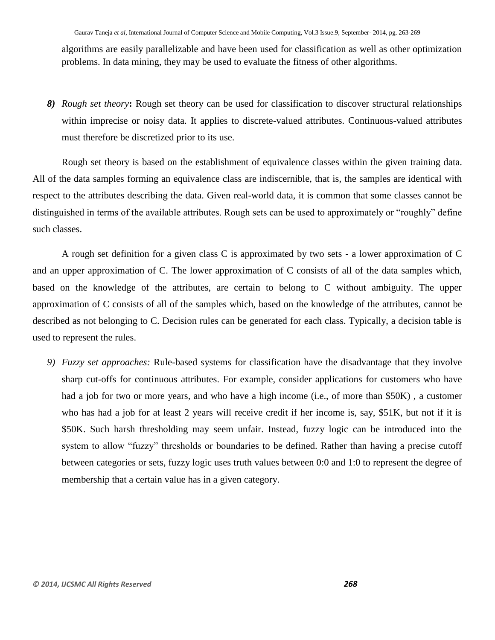algorithms are easily parallelizable and have been used for classification as well as other optimization problems. In data mining, they may be used to evaluate the fitness of other algorithms.

*8) Rough set theory***:** Rough set theory can be used for classification to discover structural relationships within imprecise or noisy data. It applies to discrete-valued attributes. Continuous-valued attributes must therefore be discretized prior to its use.

Rough set theory is based on the establishment of equivalence classes within the given training data. All of the data samples forming an equivalence class are indiscernible, that is, the samples are identical with respect to the attributes describing the data. Given real-world data, it is common that some classes cannot be distinguished in terms of the available attributes. Rough sets can be used to approximately or "roughly" define such classes.

A rough set definition for a given class C is approximated by two sets - a lower approximation of C and an upper approximation of C. The lower approximation of C consists of all of the data samples which, based on the knowledge of the attributes, are certain to belong to C without ambiguity. The upper approximation of C consists of all of the samples which, based on the knowledge of the attributes, cannot be described as not belonging to C. Decision rules can be generated for each class. Typically, a decision table is used to represent the rules.

*9) Fuzzy set approaches:* Rule-based systems for classification have the disadvantage that they involve sharp cut-offs for continuous attributes. For example, consider applications for customers who have had a job for two or more years, and who have a high income (i.e., of more than \$50K) , a customer who has had a job for at least 2 years will receive credit if her income is, say, \$51K, but not if it is \$50K. Such harsh thresholding may seem unfair. Instead, fuzzy logic can be introduced into the system to allow "fuzzy" thresholds or boundaries to be defined. Rather than having a precise cutoff between categories or sets, fuzzy logic uses truth values between 0:0 and 1:0 to represent the degree of membership that a certain value has in a given category.